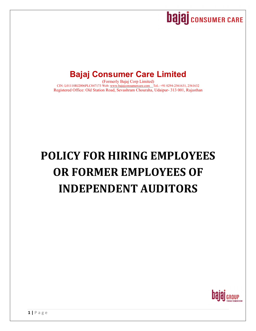

## **Bajaj Consumer Care Limited**

(Formerly Bajaj Corp Limited) CIN: L01110RJ2006PLC047173 Web: www.bajajconsumercare.com Tel.: +91 0294-2561631, 2561632 Registered Office: Old Station Road, Sevashram Chouraha, Udaipur- 313 001, Rajasthan

# **POLICY FOR HIRING EMPLOYEES OR FORMER EMPLOYEES OF INDEPENDENT AUDITORS**

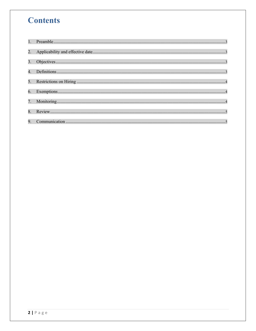## **Contents**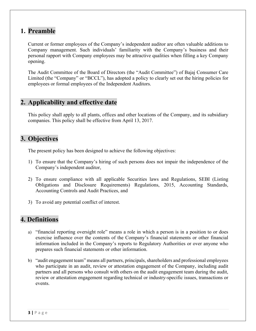#### **1. Preamble**

Current or former employees of the Company's independent auditor are often valuable additions to Company management. Such individuals' familiarity with the Company's business and their personal rapport with Company employees may be attractive qualities when filling a key Company opening.

The Audit Committee of the Board of Directors (the "Audit Committee") of Bajaj Consumer Care Limited (the "Company" or "BCCL"), has adopted a policy to clearly set out the hiring policies for employees or formal employees of the Independent Auditors.

#### **2. Applicability and effective date**

This policy shall apply to all plants, offices and other locations of the Company, and its subsidiary companies. This policy shall be effective from April 13, 2017.

#### **3. Objectives**

The present policy has been designed to achieve the following objectives:

- 1) To ensure that the Company's hiring of such persons does not impair the independence of the Company's independent auditor,
- 2) To ensure compliance with all applicable Securities laws and Regulations, SEBI (Listing Obligations and Disclosure Requirements) Regulations, 2015, Accounting Standards, Accounting Controls and Audit Practices, and
- 3) To avoid any potential conflict of interest.

#### **4. Definitions**

- a) "financial reporting oversight role" means a role in which a person is in a position to or does exercise influence over the contents of the Company's financial statements or other financial information included in the Company's reports to Regulatory Authorities or over anyone who prepares such financial statements or other information.
- b) "audit engagement team" means all partners, principals, shareholders and professional employees who participate in an audit, review or attestation engagement of the Company, including audit partners and all persons who consult with others on the audit engagement team during the audit, review or attestation engagement regarding technical or industry-specific issues, transactions or events.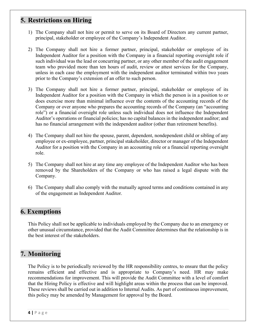#### **5. Restrictions on Hiring**

- 1) The Company shall not hire or permit to serve on its Board of Directors any current partner, principal, stakeholder or employee of the Company's Independent Auditor.
- 2) The Company shall not hire a former partner, principal, stakeholder or employee of its Independent Auditor for a position with the Company in a financial reporting oversight role if such individual was the lead or concurring partner, or any other member of the audit engagement team who provided more than ten hours of audit, review or attest services for the Company, unless in each case the employment with the independent auditor terminated within two years prior to the Company's extension of an offer to such person.
- 3) The Company shall not hire a former partner, principal, stakeholder or employee of its Independent Auditor for a position with the Company in which the person is in a position to or does exercise more than minimal influence over the contents of the accounting records of the Company or over anyone who prepares the accounting records of the Company (an "accounting role") or a financial oversight role unless such individual does not influence the Independent Auditor's operations or financial policies; has no capital balances in the independent auditor; and has no financial arrangement with the independent auditor (other than retirement benefits).
- 4) The Company shall not hire the spouse, parent, dependent, nondependent child or sibling of any employee or ex-employee, partner, principal stakeholder, director or manager of the Independent Auditor for a position with the Company in an accounting role or a financial reporting oversight role.
- 5) The Company shall not hire at any time any employee of the Independent Auditor who has been removed by the Shareholders of the Company or who has raised a legal dispute with the Company.
- 6) The Company shall also comply with the mutually agreed terms and conditions contained in any of the engagement as Independent Auditor.

#### **6. Exemptions**

This Policy shall not be applicable to individuals employed by the Company due to an emergency or other unusual circumstance, provided that the Audit Committee determines that the relationship is in the best interest of the stakeholders.

#### **7. Monitoring**

The Policy is to be periodically reviewed by the HR responsibility centres, to ensure that the policy remains efficient and effective and is appropriate to Company's need. HR may make recommendations for improvement. This will provide the Audit Committee with a level of comfort that the Hiring Policy is effective and will highlight areas within the process that can be improved. These reviews shall be carried out in addition to Internal Audits. As part of continuous improvement, this policy may be amended by Management for approval by the Board.